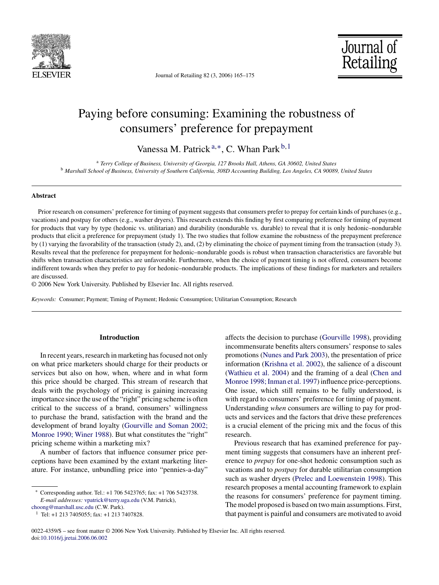

Journal of Retailing 82 (3, 2006) 165–175

Journal of Retailing

# Paying before consuming: Examining the robustness of consumers' preference for prepayment

Vanessa M. Patrick<sup>a,∗</sup>, C. Whan Park <sup>b, 1</sup>

<sup>a</sup> *Terry College of Business, University of Georgia, 127 Brooks Hall, Athens, GA 30602, United States* <sup>b</sup> *Marshall School of Business, University of Southern California, 308D Accounting Building, Los Angeles, CA 90089, United States*

## **Abstract**

Prior research on consumers' preference for timing of payment suggests that consumers prefer to prepay for certain kinds of purchases (e.g., vacations) and postpay for others (e.g., washer dryers). This research extends this finding by first comparing preference for timing of payment for products that vary by type (hedonic vs. utilitarian) and durability (nondurable vs. durable) to reveal that it is only hedonic–nondurable products that elicit a preference for prepayment (study 1). The two studies that follow examine the robustness of the prepayment preference by (1) varying the favorability of the transaction (study 2), and, (2) by eliminating the choice of payment timing from the transaction (study 3). Results reveal that the preference for prepayment for hedonic–nondurable goods is robust when transaction characteristics are favorable but shifts when transaction characteristics are unfavorable. Furthermore, when the choice of payment timing is not offered, consumers become indifferent towards when they prefer to pay for hedonic–nondurable products. The implications of these findings for marketers and retailers are discussed.

© 2006 New York University. Published by Elsevier Inc. All rights reserved.

*Keywords:* Consumer; Payment; Timing of Payment; Hedonic Consumption; Utilitarian Consumption; Research

## **Introduction**

In recent years, research in marketing has focused not only on what price marketers should charge for their products or services but also on how, when, where and in what form this price should be charged. This stream of research that deals with the psychology of pricing is gaining increasing importance since the use of the "right" pricing scheme is often critical to the success of a brand, consumers' willingness to purchase the brand, satisfaction with the brand and the development of brand loyalty ([Gourville and Soman 2002;](#page-10-0) [Monroe 1990; Winer 1988\).](#page-10-0) But what constitutes the "right" pricing scheme within a marketing mix?

A number of factors that influence consumer price perceptions have been examined by the extant marketing literature. For instance, unbundling price into "pennies-a-day" affects the decision to purchase ([Gourville 1998\),](#page-10-0) providing incommensurate benefits alters consumers' response to sales promotions ([Nunes and Park 2003\),](#page-10-0) the presentation of price information ([Krishna et al. 2002\),](#page-10-0) the salience of a discount ([Wathieu et al. 2004\)](#page-10-0) and the framing of a deal [\(Chen and](#page-10-0) [Monroe 1998; Inman et al. 1997\) i](#page-10-0)nfluence price-perceptions. One issue, which still remains to be fully understood, is with regard to consumers' preference for timing of payment. Understanding *when* consumers are willing to pay for products and services and the factors that drive these preferences is a crucial element of the pricing mix and the focus of this research.

Previous research that has examined preference for payment timing suggests that consumers have an inherent preference to *prepay* for one-shot hedonic consumption such as vacations and to *postpay* for durable utilitarian consumption such as washer dryers ([Prelec and Loewenstein 1998\).](#page-10-0) This research proposes a mental accounting framework to explain the reasons for consumers' preference for payment timing. The model proposed is based on two main assumptions. First, that payment is painful and consumers are motivated to avoid

<sup>∗</sup> Corresponding author. Tel.: +1 706 5423765; fax: +1 706 5423738. *E-mail addresses:* [vpatrick@terry.uga.edu](mailto:vpatrick@terry.uga.edu) (V.M. Patrick),

[choong@marshall.usc.edu](mailto:choong@marshall.usc.edu) (C.W. Park).

<sup>1</sup> Tel: +1 213 7405055; fax: +1 213 7407828.

<sup>0022-4359/\$ –</sup> see front matter © 2006 New York University. Published by Elsevier Inc. All rights reserved. doi[:10.1016/j.jretai.2006.06.002](dx.doi.org/10.1016/j.jretai.2006.06.002)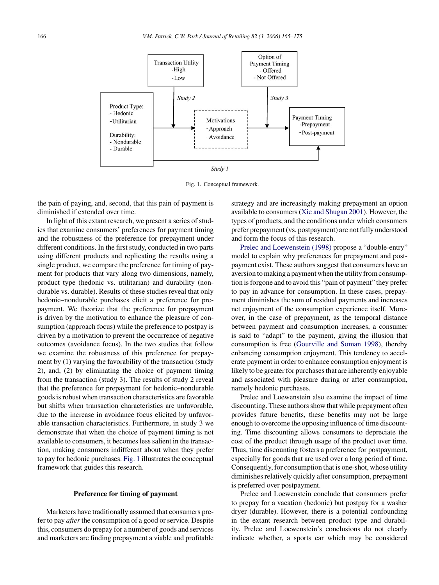<span id="page-1-0"></span>

Fig. 1. Conceptual framework.

the pain of paying, and, second, that this pain of payment is diminished if extended over time.

In light of this extant research, we present a series of studies that examine consumers' preferences for payment timing and the robustness of the preference for prepayment under different conditions. In the first study, conducted in two parts using different products and replicating the results using a single product, we compare the preference for timing of payment for products that vary along two dimensions, namely, product type (hedonic vs. utilitarian) and durability (nondurable vs. durable). Results of these studies reveal that only hedonic–nondurable purchases elicit a preference for prepayment. We theorize that the preference for prepayment is driven by the motivation to enhance the pleasure of consumption (approach focus) while the preference to postpay is driven by a motivation to prevent the occurrence of negative outcomes (avoidance focus). In the two studies that follow we examine the robustness of this preference for prepayment by (1) varying the favorability of the transaction (study 2), and, (2) by eliminating the choice of payment timing from the transaction (study 3). The results of study 2 reveal that the preference for prepayment for hedonic–nondurable goods is robust when transaction characteristics are favorable but shifts when transaction characteristics are unfavorable, due to the increase in avoidance focus elicited by unfavorable transaction characteristics. Furthermore, in study 3 we demonstrate that when the choice of payment timing is not available to consumers, it becomes less salient in the transaction, making consumers indifferent about when they prefer to pay for hedonic purchases. Fig. 1 illustrates the conceptual framework that guides this research.

#### **Preference for timing of payment**

Marketers have traditionally assumed that consumers prefer to pay *after* the consumption of a good or service. Despite this, consumers do prepay for a number of goods and services and marketers are finding prepayment a viable and profitable strategy and are increasingly making prepayment an option available to consumers ([Xie and Shugan 2001\).](#page-10-0) However, the types of products, and the conditions under which consumers prefer prepayment (vs. postpayment) are not fully understood and form the focus of this research.

[Prelec and Loewenstein \(1998\)](#page-10-0) propose a "double-entry" model to explain why preferences for prepayment and postpayment exist. These authors suggest that consumers have an aversion to making a payment when the utility from consumption is forgone and to avoid this "pain of payment" they prefer to pay in advance for consumption. In these cases, prepayment diminishes the sum of residual payments and increases net enjoyment of the consumption experience itself. Moreover, in the case of prepayment, as the temporal distance between payment and consumption increases, a consumer is said to "adapt" to the payment, giving the illusion that consumption is free ([Gourville and Soman 1998\),](#page-10-0) thereby enhancing consumption enjoyment. This tendency to accelerate payment in order to enhance consumption enjoyment is likely to be greater for purchases that are inherently enjoyable and associated with pleasure during or after consumption, namely hedonic purchases.

Prelec and Loewenstein also examine the impact of time discounting. These authors show that while prepayment often provides future benefits, these benefits may not be large enough to overcome the opposing influence of time discounting. Time discounting allows consumers to depreciate the cost of the product through usage of the product over time. Thus, time discounting fosters a preference for postpayment, especially for goods that are used over a long period of time. Consequently, for consumption that is one-shot, whose utility diminishes relatively quickly after consumption, prepayment is preferred over postpayment.

Prelec and Loewenstein conclude that consumers prefer to prepay for a vacation (hedonic) but postpay for a washer dryer (durable). However, there is a potential confounding in the extant research between product type and durability. Prelec and Loewenstein's conclusions do not clearly indicate whether, a sports car which may be considered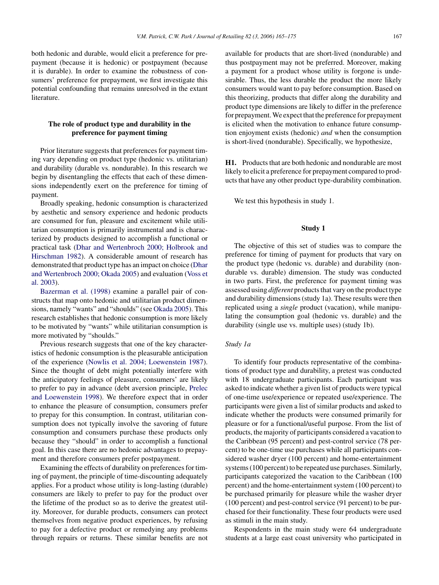<span id="page-2-0"></span>both hedonic and durable, would elicit a preference for prepayment (because it is hedonic) or postpayment (because it is durable). In order to examine the robustness of consumers' preference for prepayment, we first investigate this potential confounding that remains unresolved in the extant literature.

# **The role of product type and durability in the preference for payment timing**

Prior literature suggests that preferences for payment timing vary depending on product type (hedonic vs. utilitarian) and durability (durable vs. nondurable). In this research we begin by disentangling the effects that each of these dimensions independently exert on the preference for timing of payment.

Broadly speaking, hedonic consumption is characterized by aesthetic and sensory experience and hedonic products are consumed for fun, pleasure and excitement while utilitarian consumption is primarily instrumental and is characterized by products designed to accomplish a functional or practical task [\(Dhar and Wertenbroch 2000; Holbrook and](#page-10-0) [Hirschman 1982\).](#page-10-0) A considerable amount of research has demonstrated that product type has an impact on choice ([Dhar](#page-10-0) [and Wertenbroch 2000; Okada 2005\)](#page-10-0) and evaluation ([Voss et](#page-10-0) [al. 2003\).](#page-10-0)

[Bazerman et al. \(1998\)](#page-10-0) examine a parallel pair of constructs that map onto hedonic and utilitarian product dimensions, namely "wants" and "shoulds" (see [Okada 2005\).](#page-10-0) This research establishes that hedonic consumption is more likely to be motivated by "wants" while utilitarian consumption is more motivated by "shoulds."

Previous research suggests that one of the key characteristics of hedonic consumption is the pleasurable anticipation of the experience ([Nowlis et al. 2004; Loewenstein 1987\).](#page-10-0) Since the thought of debt might potentially interfere with the anticipatory feelings of pleasure, consumers' are likely to prefer to pay in advance (debt aversion principle, [Prelec](#page-10-0) [and Loewenstein 1998\).](#page-10-0) We therefore expect that in order to enhance the pleasure of consumption, consumers prefer to prepay for this consumption. In contrast, utilitarian consumption does not typically involve the savoring of future consumption and consumers purchase these products only because they "should" in order to accomplish a functional goal. In this case there are no hedonic advantages to prepayment and therefore consumers prefer postpayment.

Examining the effects of durability on preferences for timing of payment, the principle of time-discounting adequately applies. For a product whose utility is long-lasting (durable) consumers are likely to prefer to pay for the product over the lifetime of the product so as to derive the greatest utility. Moreover, for durable products, consumers can protect themselves from negative product experiences, by refusing to pay for a defective product or remedying any problems through repairs or returns. These similar benefits are not available for products that are short-lived (nondurable) and thus postpayment may not be preferred. Moreover, making a payment for a product whose utility is forgone is undesirable. Thus, the less durable the product the more likely consumers would want to pay before consumption. Based on this theorizing, products that differ along the durability and product type dimensions are likely to differ in the preference for prepayment. We expect that the preference for prepayment is elicited when the motivation to enhance future consumption enjoyment exists (hedonic) *and* when the consumption is short-lived (nondurable). Specifically, we hypothesize,

**H1.** Products that are both hedonic and nondurable are most likely to elicit a preference for prepayment compared to products that have any other product type-durability combination.

We test this hypothesis in study 1.

## **Study 1**

The objective of this set of studies was to compare the preference for timing of payment for products that vary on the product type (hedonic vs. durable) and durability (nondurable vs. durable) dimension. The study was conducted in two parts. First, the preference for payment timing was assessed using *different* products that vary on the product type and durability dimensions (study 1a). These results were then replicated using a *single* product (vacation), while manipulating the consumption goal (hedonic vs. durable) and the durability (single use vs. multiple uses) (study 1b).

# *Study 1a*

To identify four products representative of the combinations of product type and durability, a pretest was conducted with 18 undergraduate participants. Each participant was asked to indicate whether a given list of products were typical of one-time use/experience or repeated use/experience. The participants were given a list of similar products and asked to indicate whether the products were consumed primarily for pleasure or for a functional/useful purpose. From the list of products, the majority of participants considered a vacation to the Caribbean (95 percent) and pest-control service (78 percent) to be one-time use purchases while all participants considered washer dryer (100 percent) and home-entertainment systems (100 percent) to be repeated use purchases. Similarly, participants categorized the vacation to the Caribbean (100 percent) and the home-entertainment system (100 percent) to be purchased primarily for pleasure while the washer dryer (100 percent) and pest-control service (91 percent) to be purchased for their functionality. These four products were used as stimuli in the main study.

Respondents in the main study were 64 undergraduate students at a large east coast university who participated in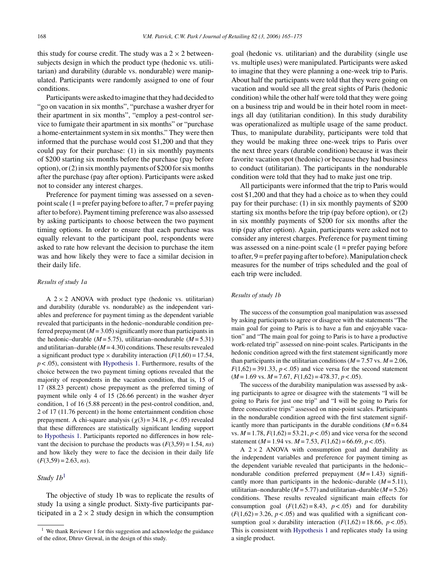this study for course credit. The study was a  $2 \times 2$  betweensubjects design in which the product type (hedonic vs. utilitarian) and durability (durable vs. nondurable) were manipulated. Participants were randomly assigned to one of four conditions.

Participants were asked to imagine that they had decided to "go on vacation in six months", "purchase a washer dryer for their apartment in six months", "employ a pest-control service to fumigate their apartment in six months" or "purchase a home-entertainment system in six months." They were then informed that the purchase would cost \$1,200 and that they could pay for their purchase: (1) in six monthly payments of \$200 starting six months before the purchase (pay before option), or (2) in six monthly payments of \$200 for six months after the purchase (pay after option). Participants were asked not to consider any interest charges.

Preference for payment timing was assessed on a sevenpoint scale (1 = prefer paying before to after, 7 = prefer paying after to before). Payment timing preference was also assessed by asking participants to choose between the two payment timing options. In order to ensure that each purchase was equally relevant to the participant pool, respondents were asked to rate how relevant the decision to purchase the item was and how likely they were to face a similar decision in their daily life.

#### *Results of study 1a*

A  $2 \times 2$  ANOVA with product type (hedonic vs. utilitarian) and durability (durable vs. nondurable) as the independent variables and preference for payment timing as the dependent variable revealed that participants in the hedonic–nondurable condition preferred prepayment  $(M = 3.05)$  significantly more than participants in the hedonic–durable ( $M = 5.75$ ), utilitarian–nondurable ( $M = 5.31$ ) and utilitarian–durable  $(M = 4.30)$  conditions. These results revealed a significant product type  $\times$  durability interaction ( $F(1,60) = 17.54$ , *p* < .05), consistent with [Hypothesis 1. F](#page-2-0)urthermore, results of the choice between the two payment timing options revealed that the majority of respondents in the vacation condition, that is, 15 of 17 (88.23 percent) chose prepayment as the preferred timing of payment while only 4 of 15 (26.66 percent) in the washer dryer condition, 1 of 16 (5.88 percent) in the pest-control condition, and, 2 of 17 (11.76 percent) in the home entertainment condition chose prepayment. A chi-square analysis ( $\chi$ (3) = 34.18, *p* < .05) revealed that these differences are statistically significant lending support to [Hypothesis 1.](#page-2-0) Participants reported no differences in how relevant the decision to purchase the products was  $(F(3,59) = 1.54, ns)$ and how likely they were to face the decision in their daily life  $(F(3,59) = 2.63, ns)$ .

# *Study 1b*<sup>1</sup>

The objective of study 1b was to replicate the results of study 1a using a single product. Sixty-five participants participated in a  $2 \times 2$  study design in which the consumption

goal (hedonic vs. utilitarian) and the durability (single use vs. multiple uses) were manipulated. Participants were asked to imagine that they were planning a one-week trip to Paris. About half the participants were told that they were going on vacation and would see all the great sights of Paris (hedonic condition) while the other half were told that they were going on a business trip and would be in their hotel room in meetings all day (utilitarian condition). In this study durability was operationalized as multiple usage of the same product. Thus, to manipulate durability, participants were told that they would be making three one-week trips to Paris over the next three years (durable condition) because it was their favorite vacation spot (hedonic) or because they had business to conduct (utilitarian). The participants in the nondurable condition were told that they had to make just one trip.

All participants were informed that the trip to Paris would cost \$1,200 and that they had a choice as to when they could pay for their purchase: (1) in six monthly payments of \$200 starting six months before the trip (pay before option), or (2) in six monthly payments of \$200 for six months after the trip (pay after option). Again, participants were asked not to consider any interest charges. Preference for payment timing was assessed on a nine-point scale  $(1 =$  prefer paying before to after, 9 = prefer paying after to before). Manipulation check measures for the number of trips scheduled and the goal of each trip were included.

#### *Results of study 1b*

The success of the consumption goal manipulation was assessed by asking participants to agree or disagree with the statements "The main goal for going to Paris is to have a fun and enjoyable vacation" and "The main goal for going to Paris is to have a productive work-related trip" assessed on nine-point scales. Participants in the hedonic condition agreed with the first statement significantly more than participants in the utilitarian conditions  $(M = 7.57 \text{ vs. } M = 2.06$ ,  $F(1,62) = 391.33$ ,  $p < .05$ ) and vice versa for the second statement (*M* = 1.69 vs. *M* = 7.67, *F*(1,62) = 478.37, *p* < .05).

The success of the durability manipulation was assessed by asking participants to agree or disagree with the statements "I will be going to Paris for just one trip" and "I will be going to Paris for three consecutive trips" assessed on nine-point scales. Participants in the nondurable condition agreed with the first statement significantly more than participants in the durable conditions  $(M = 6.84)$ vs.  $M = 1.78$ ,  $F(1,62) = 53.21$ ,  $p < .05$ ) and vice versa for the second statement ( $M = 1.94$  vs.  $M = 7.53$ ,  $F(1,62) = 66.69$ ,  $p < .05$ ).

A  $2 \times 2$  ANOVA with consumption goal and durability as the independent variables and preference for payment timing as the dependent variable revealed that participants in the hedonic– nondurable condition preferred prepayment  $(M=1.43)$  significantly more than participants in the hedonic–durable  $(M=5.11)$ , utilitarian–nondurable (*M* = 5.77) and utilitarian–durable (*M* = 5.26) conditions. These results revealed significant main effects for consumption goal  $(F(1,62) = 8.43, p < .05)$  and for durability  $(F(1,62) = 3.26, p < .05)$  and was qualified with a significant consumption goal  $\times$  durability interaction ( $F(1,62) = 18.66$ ,  $p < .05$ ). This is consistent with [Hypothesis 1](#page-2-0) and replicates study 1a using a single product.

<sup>&</sup>lt;sup>1</sup> We thank Reviewer 1 for this suggestion and acknowledge the guidance of the editor, Dhruv Grewal, in the design of this study.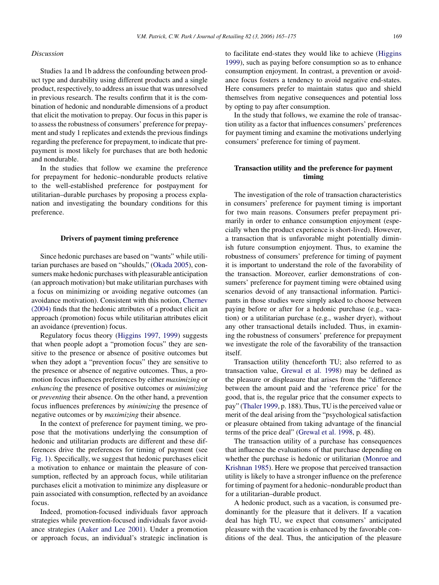## *Discussion*

Studies 1a and 1b address the confounding between product type and durability using different products and a single product, respectively, to address an issue that was unresolved in previous research. The results confirm that it is the combination of hedonic and nondurable dimensions of a product that elicit the motivation to prepay. Our focus in this paper is to assess the robustness of consumers' preference for prepayment and study 1 replicates and extends the previous findings regarding the preference for prepayment, to indicate that prepayment is most likely for purchases that are both hedonic and nondurable.

In the studies that follow we examine the preference for prepayment for hedonic–nondurable products relative to the well-established preference for postpayment for utilitarian–durable purchases by proposing a process explanation and investigating the boundary conditions for this preference.

## **Drivers of payment timing preference**

Since hedonic purchases are based on "wants" while utilitarian purchases are based on "shoulds," ([Okada 2005\),](#page-10-0) consumers make hedonic purchases with pleasurable anticipation (an approach motivation) but make utilitarian purchases with a focus on minimizing or avoiding negative outcomes (an avoidance motivation). Consistent with this notion, [Chernev](#page-10-0) [\(2004\)](#page-10-0) finds that the hedonic attributes of a product elicit an approach (promotion) focus while utilitarian attributes elicit an avoidance (prevention) focus.

Regulatory focus theory ([Higgins 1997, 1999\)](#page-10-0) suggests that when people adopt a "promotion focus" they are sensitive to the presence or absence of positive outcomes but when they adopt a "prevention focus" they are sensitive to the presence or absence of negative outcomes. Thus, a promotion focus influences preferences by either *maximizing* or *enhancing* the presence of positive outcomes or *minimizing* or *preventing* their absence. On the other hand, a prevention focus influences preferences by *minimizing* the presence of negative outcomes or by *maximizing* their absence.

In the context of preference for payment timing, we propose that the motivations underlying the consumption of hedonic and utilitarian products are different and these differences drive the preferences for timing of payment (see [Fig. 1\).](#page-1-0) Specifically, we suggest that hedonic purchases elicit a motivation to enhance or maintain the pleasure of consumption, reflected by an approach focus, while utilitarian purchases elicit a motivation to minimize any displeasure or pain associated with consumption, reflected by an avoidance focus.

Indeed, promotion-focused individuals favor approach strategies while prevention-focused individuals favor avoidance strategies [\(Aaker and Lee 2001\).](#page-10-0) Under a promotion or approach focus, an individual's strategic inclination is to facilitate end-states they would like to achieve [\(Higgins](#page-10-0) [1999\),](#page-10-0) such as paying before consumption so as to enhance consumption enjoyment. In contrast, a prevention or avoidance focus fosters a tendency to avoid negative end-states. Here consumers prefer to maintain status quo and shield themselves from negative consequences and potential loss by opting to pay after consumption.

In the study that follows, we examine the role of transaction utility as a factor that influences consumers' preferences for payment timing and examine the motivations underlying consumers' preference for timing of payment.

# **Transaction utility and the preference for payment timing**

The investigation of the role of transaction characteristics in consumers' preference for payment timing is important for two main reasons. Consumers prefer prepayment primarily in order to enhance consumption enjoyment (especially when the product experience is short-lived). However, a transaction that is unfavorable might potentially diminish future consumption enjoyment. Thus, to examine the robustness of consumers' preference for timing of payment it is important to understand the role of the favorability of the transaction. Moreover, earlier demonstrations of consumers' preference for payment timing were obtained using scenarios devoid of any transactional information. Participants in those studies were simply asked to choose between paying before or after for a hedonic purchase (e.g., vacation) or a utilitarian purchase (e.g., washer dryer), without any other transactional details included. Thus, in examining the robustness of consumers' preference for prepayment we investigate the role of the favorability of the transaction itself.

Transaction utility (henceforth TU; also referred to as transaction value, [Grewal et al. 1998\)](#page-10-0) may be defined as the pleasure or displeasure that arises from the "difference between the amount paid and the 'reference price' for the good, that is, the regular price that the consumer expects to pay" [\(Thaler 1999, p](#page-10-0). 188). Thus, TU is the perceived value or merit of the deal arising from the "psychological satisfaction or pleasure obtained from taking advantage of the financial terms of the price deal" ([Grewal et al. 1998,](#page-10-0) p. 48).

The transaction utility of a purchase has consequences that influence the evaluations of that purchase depending on whether the purchase is hedonic or utilitarian ([Monroe and](#page-10-0) [Krishnan 1985\).](#page-10-0) Here we propose that perceived transaction utility is likely to have a stronger influence on the preference for timing of payment for a hedonic–nondurable product than for a utilitarian–durable product.

A hedonic product, such as a vacation, is consumed predominantly for the pleasure that it delivers. If a vacation deal has high TU, we expect that consumers' anticipated pleasure with the vacation is enhanced by the favorable conditions of the deal. Thus, the anticipation of the pleasure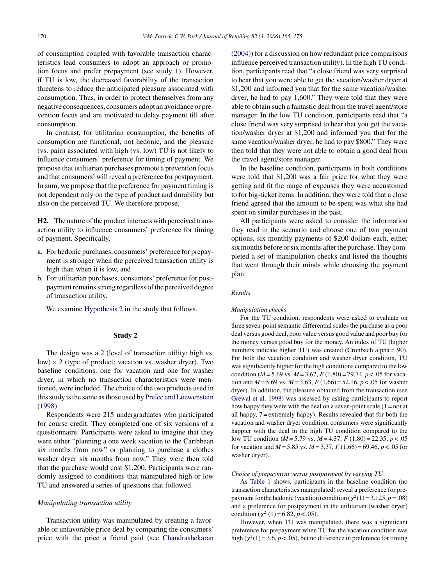<span id="page-5-0"></span>of consumption coupled with favorable transaction characteristics lead consumers to adopt an approach or promotion focus and prefer prepayment (see study 1). However, if TU is low, the decreased favorability of the transaction threatens to reduce the anticipated pleasure associated with consumption. Thus, in order to protect themselves from any negative consequences, consumers adopt an avoidance or prevention focus and are motivated to delay payment till after consumption.

In contrast, for utilitarian consumption, the benefits of consumption are functional, not hedonic, and the pleasure (vs. pain) associated with high (vs. low) TU is not likely to influence consumers' preference for timing of payment. We propose that utilitarian purchases promote a prevention focus and that consumers' will reveal a preference for postpayment. In sum, we propose that the preference for payment timing is not dependent only on the type of product and durability but also on the perceived TU. We therefore propose,

**H2.** The nature of the product interacts with perceived transaction utility to influence consumers' preference for timing of payment. Specifically,

- a. For hedonic purchases, consumers' preference for prepayment is stronger when the perceived transaction utility is high than when it is low, and
- b. For utilitarian purchases, consumers' preference for postpayment remains strong regardless of the perceived degree of transaction utility.

We examine Hypothesis 2 in the study that follows.

# **Study 2**

The design was a 2 (level of transaction utility: high vs. low)  $\times$  2 (type of product: vacation vs. washer dryer). Two baseline conditions, one for vacation and one for washer dryer, in which no transaction characteristics were mentioned, were included. The choice of the two products used in this study is the same as those used by [Prelec and Loewenstein](#page-10-0) [\(1998\).](#page-10-0)

Respondents were 215 undergraduates who participated for course credit. They completed one of six versions of a questionnaire. Participants were asked to imagine that they were either "planning a one week vacation to the Caribbean six months from now" or planning to purchase a clothes washer dryer six months from now." They were then told that the purchase would cost \$1,200. Participants were randomly assigned to conditions that manipulated high or low TU and answered a series of questions that followed.

#### *Manipulating transaction utility*

Transaction utility was manipulated by creating a favorable or unfavorable price deal by comparing the consumers' price with the price a friend paid (see [Chandrashekaran](#page-10-0) [\(2004\)\)](#page-10-0) for a discussion on how redundant price comparisons influence perceived transaction utility). In the high TU condition, participants read that "a close friend was very surprised to hear that you were able to get the vacation/washer dryer at \$1,200 and informed you that for the same vacation/washer dryer, he had to pay 1,600." They were told that they were able to obtain such a fantastic deal from the travel agent/store manager. In the low TU condition, participants read that "a close friend was very surprised to hear that you got the vacation/washer dryer at \$1,200 and informed you that for the same vacation/washer dryer, he had to pay \$800." They were then told that they were not able to obtain a good deal from the travel agent/store manager.

In the baseline condition, participants in both conditions were told that \$1,200 was a fair price for what they were getting and fit the range of expenses they were accustomed to for big-ticket items. In addition, they were told that a close friend agreed that the amount to be spent was what she had spent on similar purchases in the past.

All participants were asked to consider the information they read in the scenario and choose one of two payment options, six monthly payments of \$200 dollars each, either six months before or six months after the purchase. They completed a set of manipulation checks and listed the thoughts that went through their minds while choosing the payment plan.

#### *Results*

#### *Manipulation checks*

For the TU condition, respondents were asked to evaluate on three seven-point semantic differential scales the purchase as a poor deal versus good deal, poor value versus good value and poor buy for the money versus good buy for the money. An index of TU (higher numbers indicate higher TU) was created (Cronbach alpha = .90). For both the vacation condition and washer dryer condition, TU was significantly higher for the high conditions compared to the low condition ( $M = 5.69$  vs.  $M = 3.62$ ,  $F(1,80) = 79.74$ ,  $p < .05$  for vacation and *M* = 5.69 vs. *M* = 3.63, *F* (1,66) = 52.16, *p* < .05 for washer dryer). In addition, the pleasure obtained from the transaction (see [Grewal et al. 1998\)](#page-10-0) was assessed by asking participants to report how happy they were with the deal on a seven-point scale  $(1 = not$  at all happy, 7 = extremely happy). Results revealed that for both the vacation and washer dryer condition, consumers were significantly happier with the deal in the high TU condition compared to the low TU condition (*M* = 5.79 vs. *M* = 4.37, *F* (1,80) = 22.35, *p* < .05 for vacation and *M* = 5.85 vs. *M* = 3.37, *F* (1,66) = 69.46, *p* < .05 for washer dryer).

### *Choice of prepayment versus postpayment by varying TU*

As [Table 1](#page-6-0) shows, participants in the baseline condition (no transaction characteristics manipulated) reveal a preference for prepayment for the hedonic (vacation) condition ( $\chi^2(1) = 3.125$ ,  $p = .08$ ) and a preference for postpayment in the utilitarian (washer dryer) condition ( $\chi^2$  (1) = 6.82, *p* < .05).

However, when TU was manipulated, there was a significant preference for prepayment when TU for the vacation condition was high ( $\chi^2(1) = 3.6$ ,  $p < .05$ ), but no difference in preference for timing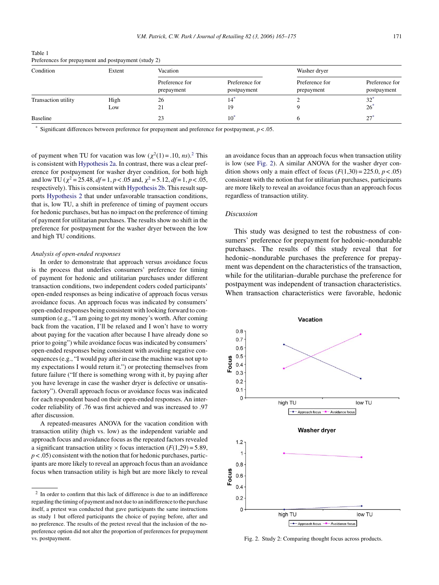*V.M. Patrick, C.W. Park / Journal of Retailing 82 (3, 2006) 165–175* 171

<span id="page-6-0"></span>

| Table 1                                              |  |
|------------------------------------------------------|--|
| Preferences for prepayment and postpayment (study 2) |  |

| Condition           | Extent      | Vacation                     |                               | Washer dryer                 |                               |  |  |  |
|---------------------|-------------|------------------------------|-------------------------------|------------------------------|-------------------------------|--|--|--|
|                     |             | Preference for<br>prepayment | Preference for<br>postpayment | Preference for<br>prepayment | Preference for<br>postpayment |  |  |  |
| Transaction utility | High<br>Low | 26<br>21                     | 14<br>19                      |                              | $32^{\circ}$<br>$26^{\circ}$  |  |  |  |
| Baseline            |             | 23                           | $10^{\circ}$                  |                              | 27                            |  |  |  |

Significant differences between preference for prepayment and preference for postpayment,  $p < .05$ .

of payment when TU for vacation was low  $(\chi^2(1) = .10, ns)^2$ . This is consistent with [Hypothesis 2a. I](#page-5-0)n contrast, there was a clear preference for postpayment for washer dryer condition, for both high and low TU ( $\chi^2$  = 25.48, *df* = 1, *p* < .05 and,  $\chi^2$  = 5.12, *df* = 1, *p* < .05, respectively). This is consistent with [Hypothesis 2b. T](#page-5-0)his result supports [Hypothesis 2](#page-5-0) that under unfavorable transaction conditions, that is, low TU, a shift in preference of timing of payment occurs for hedonic purchases, but has no impact on the preference of timing of payment for utilitarian purchases. The results show no shift in the preference for postpayment for the washer dryer between the low and high TU conditions.

#### *Analysis of open-ended responses*

In order to demonstrate that approach versus avoidance focus is the process that underlies consumers' preference for timing of payment for hedonic and utilitarian purchases under different transaction conditions, two independent coders coded participants' open-ended responses as being indicative of approach focus versus avoidance focus. An approach focus was indicated by consumers' open-ended responses being consistent with looking forward to consumption (e.g., "I am going to get my money's worth. After coming back from the vacation, I'll be relaxed and I won't have to worry about paying for the vacation after because I have already done so prior to going") while avoidance focus was indicated by consumers' open-ended responses being consistent with avoiding negative consequences (e.g., "I would pay after in case the machine was not up to my expectations I would return it.") or protecting themselves from future failure ("If there is something wrong with it, by paying after you have leverage in case the washer dryer is defective or unsatisfactory"). Overall approach focus or avoidance focus was indicated for each respondent based on their open-ended responses. An intercoder reliability of .76 was first achieved and was increased to .97 after discussion.

A repeated-measures ANOVA for the vacation condition with transaction utility (high vs. low) as the independent variable and approach focus and avoidance focus as the repeated factors revealed a significant transaction utility  $\times$  focus interaction ( $F(1,29) = 5.89$ ,  $p < .05$ ) consistent with the notion that for hedonic purchases, participants are more likely to reveal an approach focus than an avoidance focus when transaction utility is high but are more likely to reveal an avoidance focus than an approach focus when transaction utility is low (see Fig. 2). A similar ANOVA for the washer dryer condition shows only a main effect of focus  $(F(1,30) = 225.0, p < .05)$ consistent with the notion that for utilitarian purchases, participants are more likely to reveal an avoidance focus than an approach focus regardless of transaction utility.

## *Discussion*

This study was designed to test the robustness of consumers' preference for prepayment for hedonic–nondurable purchases. The results of this study reveal that for hedonic–nondurable purchases the preference for prepayment was dependent on the characteristics of the transaction, while for the utilitarian–durable purchase the preference for postpayment was independent of transaction characteristics. When transaction characteristics were favorable, hedonic



Fig. 2. Study 2: Comparing thought focus across products.

<sup>2</sup> In order to confirm that this lack of difference is due to an indifference regarding the timing of payment and not due to an indifference to the purchase itself, a pretest was conducted that gave participants the same instructions as study 1 but offered participants the choice of paying before, after and no preference. The results of the pretest reveal that the inclusion of the nopreference option did not alter the proportion of preferences for prepayment vs. postpayment.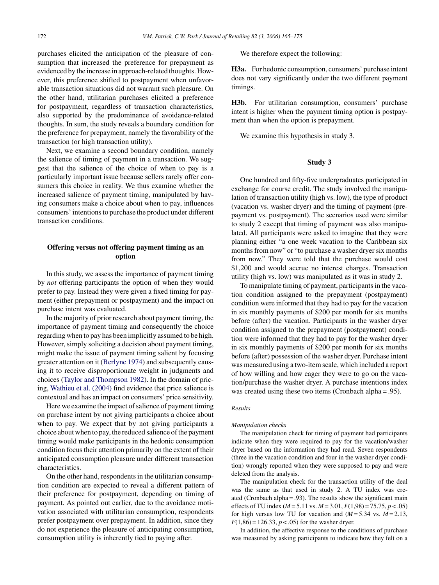purchases elicited the anticipation of the pleasure of consumption that increased the preference for prepayment as evidenced by the increase in approach-related thoughts. However, this preference shifted to postpayment when unfavorable transaction situations did not warrant such pleasure. On the other hand, utilitarian purchases elicited a preference for postpayment, regardless of transaction characteristics, also supported by the predominance of avoidance-related thoughts. In sum, the study reveals a boundary condition for the preference for prepayment, namely the favorability of the transaction (or high transaction utility).

Next, we examine a second boundary condition, namely the salience of timing of payment in a transaction. We suggest that the salience of the choice of when to pay is a particularly important issue because sellers rarely offer consumers this choice in reality. We thus examine whether the increased salience of payment timing, manipulated by having consumers make a choice about when to pay, influences consumers' intentions to purchase the product under different transaction conditions.

# **Offering versus not offering payment timing as an option**

In this study, we assess the importance of payment timing by *not* offering participants the option of when they would prefer to pay. Instead they were given a fixed timing for payment (either prepayment or postpayment) and the impact on purchase intent was evaluated.

In the majority of prior research about payment timing, the importance of payment timing and consequently the choice regarding when to pay has been implicitly assumed to be high. However, simply soliciting a decision about payment timing, might make the issue of payment timing salient by focusing greater attention on it ([Berlyne 1974\)](#page-10-0) and subsequently causing it to receive disproportionate weight in judgments and choices [\(Taylor and Thompson 1982\).](#page-10-0) In the domain of pricing, [Wathieu et al. \(2004\)](#page-10-0) find evidence that price salience is contextual and has an impact on consumers' price sensitivity.

Here we examine the impact of salience of payment timing on purchase intent by not giving participants a choice about when to pay. We expect that by not giving participants a choice about when to pay, the reduced salience of the payment timing would make participants in the hedonic consumption condition focus their attention primarily on the extent of their anticipated consumption pleasure under different transaction characteristics.

On the other hand, respondents in the utilitarian consumption condition are expected to reveal a different pattern of their preference for postpayment, depending on timing of payment. As pointed out earlier, due to the avoidance motivation associated with utilitarian consumption, respondents prefer postpayment over prepayment. In addition, since they do not experience the pleasure of anticipating consumption, consumption utility is inherently tied to paying after.

We therefore expect the following:

**H3a.** For hedonic consumption, consumers' purchase intent does not vary significantly under the two different payment timings.

**H3b.** For utilitarian consumption, consumers' purchase intent is higher when the payment timing option is postpayment than when the option is prepayment.

We examine this hypothesis in study 3.

# **Study 3**

One hundred and fifty-five undergraduates participated in exchange for course credit. The study involved the manipulation of transaction utility (high vs. low), the type of product (vacation vs. washer dryer) and the timing of payment (prepayment vs. postpayment). The scenarios used were similar to study 2 except that timing of payment was also manipulated. All participants were asked to imagine that they were planning either "a one week vacation to the Caribbean six months from now" or "to purchase a washer dryer six months from now." They were told that the purchase would cost \$1,200 and would accrue no interest charges. Transaction utility (high vs. low) was manipulated as it was in study 2.

To manipulate timing of payment, participants in the vacation condition assigned to the prepayment (postpayment) condition were informed that they had to pay for the vacation in six monthly payments of \$200 per month for six months before (after) the vacation. Participants in the washer dryer condition assigned to the prepayment (postpayment) condition were informed that they had to pay for the washer dryer in six monthly payments of \$200 per month for six months before (after) possession of the washer dryer. Purchase intent was measured using a two-item scale, which included a report of how willing and how eager they were to go on the vacation/purchase the washer dryer. A purchase intentions index was created using these two items (Cronbach alpha = .95).

#### *Results*

#### *Manipulation checks*

The manipulation check for timing of payment had participants indicate when they were required to pay for the vacation/washer dryer based on the information they had read. Seven respondents (three in the vacation condition and four in the washer dryer condition) wrongly reported when they were supposed to pay and were deleted from the analysis.

The manipulation check for the transaction utility of the deal was the same as that used in study 2. A TU index was created (Cronbach alpha = .93). The results show the significant main effects of TU index (*M* = 5.11 vs. *M* = 3.01, *F*(1,98) = 75.75, *p* < .05) for high versus low TU for vacation and  $(M = 5.34 \text{ vs. } M = 2.13,$  $F(1,86) = 126.33, p < .05$  for the washer dryer.

In addition, the affective response to the conditions of purchase was measured by asking participants to indicate how they felt on a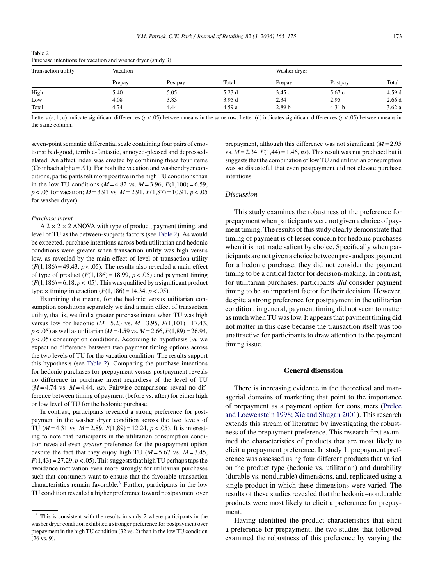| Table 2<br>Purchase intentions for vacation and washer dryer (study 3) |          |  |  |  |
|------------------------------------------------------------------------|----------|--|--|--|
| <b>Transaction utility</b>                                             | Vacation |  |  |  |

| Transaction utility | Vacation |         |        |                   | Washer dryer      |        |  |
|---------------------|----------|---------|--------|-------------------|-------------------|--------|--|
|                     | Prepay   | Postpay | Total  | Prepay            | Postpay           | Total  |  |
| High                | 5.40     | 5.05    | 5.23 d | 3.45c             | 5.67 c            | 4.59 d |  |
| Low                 | 4.08     | 3.83    | 3.95d  | 2.34              | 2.95              | 2.66d  |  |
| Total               | 4.74     | 4.44    | 4.59 a | 2.89 <sub>b</sub> | 4.31 <sub>b</sub> | 3.62a  |  |

Letters (a, b, c) indicate significant differences ( $p < .05$ ) between means in the same row. Letter (d) indicates significant differences ( $p < .05$ ) between means in the same column.

seven-point semantic differential scale containing four pairs of emotions: bad-good, terrible-fantastic, annoyed-pleased and depressedelated. An affect index was created by combining these four items (Cronbach alpha = .91). For both the vacation and washer dryer conditions, participants felt more positive in the high TU conditions than in the low TU conditions ( $M = 4.82$  vs.  $M = 3.96$ ,  $F(1,100) = 6.59$ , *p* < .05 for vacation; *M* = 3.91 vs. *M* = 2.91, *F*(1,87) = 10.91, *p* < .05 for washer dryer).

#### *Purchase intent*

 $T<sub>1</sub>$   $T<sub>2</sub>$ 

 $A$  2  $\times$  2  $\times$  2 ANOVA with type of product, payment timing, and level of TU as the between-subjects factors (see Table 2). As would be expected, purchase intentions across both utilitarian and hedonic conditions were greater when transaction utility was high versus low, as revealed by the main effect of level of transaction utility  $(F(1,186) = 49.43, p < .05)$ . The results also revealed a main effect of type of product  $(F(1,186) = 18.99, p < .05)$  and payment timing  $(F(1,186) = 6.18, p < .05)$ . This was qualified by a significant product type  $\times$  timing interaction ( $F(1,186) = 14.34, p < .05$ ).

Examining the means, for the hedonic versus utilitarian consumption conditions separately we find a main effect of transaction utility, that is, we find a greater purchase intent when TU was high versus low for hedonic  $(M = 5.23$  vs.  $M = 3.95$ ,  $F(1,101) = 17.43$ , *p* < .05) as well as utilitarian (*M* = 4.59 vs. *M* = 2.66, *F*(1,89) = 26.94,  $p$  < .05) consumption conditions. According to hypothesis 3a, we expect no difference between two payment timing options across the two levels of TU for the vacation condition. The results support this hypothesis (see Table 2). Comparing the purchase intentions for hedonic purchases for prepayment versus postpayment reveals no difference in purchase intent regardless of the level of TU  $(M=4.74 \text{ vs. } M=4.44, ns)$ . Pairwise comparisons reveal no difference between timing of payment (before vs. after) for either high or low level of TU for the hedonic purchase.

In contrast, participants revealed a strong preference for postpayment in the washer dryer condition across the two levels of TU (*M* = 4.31 vs. *M* = 2.89, *F*(1,89) = 12.24, *p* < .05). It is interesting to note that participants in the utilitarian consumption condition revealed even *greater* preference for the postpayment option despite the fact that they enjoy high TU ( $M = 5.67$  vs.  $M = 3.45$ ,  $F(1,43) = 27.29, p < .05$ . This suggests that high TU perhaps taps the avoidance motivation even more strongly for utilitarian purchases such that consumers want to ensure that the favorable transaction characteristics remain favorable.<sup>3</sup> Further, participants in the low TU condition revealed a higher preference toward postpayment over prepayment, although this difference was not significant  $(M = 2.95$ vs.  $M = 2.34$ ,  $F(1,44) = 1.46$ , *ns*). This result was not predicted but it suggests that the combination of low TU and utilitarian consumption was so distasteful that even postpayment did not elevate purchase intentions.

#### *Discussion*

This study examines the robustness of the preference for prepayment when participants were not given a choice of payment timing. The results of this study clearly demonstrate that timing of payment is of lesser concern for hedonic purchases when it is not made salient by choice. Specifically when participants are not given a choice between pre- and postpayment for a hedonic purchase, they did not consider the payment timing to be a critical factor for decision-making. In contrast, for utilitarian purchases, participants *did* consider payment timing to be an important factor for their decision. However, despite a strong preference for postpayment in the utilitarian condition, in general, payment timing did not seem to matter as much when TU was low. It appears that payment timing did not matter in this case because the transaction itself was too unattractive for participants to draw attention to the payment timing issue.

#### **General discussion**

There is increasing evidence in the theoretical and managerial domains of marketing that point to the importance of prepayment as a payment option for consumers ([Prelec](#page-10-0) [and Loewenstein 1998; Xie and Shugan 2001\).](#page-10-0) This research extends this stream of literature by investigating the robustness of the prepayment preference. This research first examined the characteristics of products that are most likely to elicit a prepayment preference. In study 1, prepayment preference was assessed using four different products that varied on the product type (hedonic vs. utilitarian) and durability (durable vs. nondurable) dimensions, and, replicated using a single product in which these dimensions were varied. The results of these studies revealed that the hedonic–nondurable products were most likely to elicit a preference for prepayment.

Having identified the product characteristics that elicit a preference for prepayment, the two studies that followed examined the robustness of this preference by varying the

 $3$  This is consistent with the results in study 2 where participants in the washer dryer condition exhibited a stronger preference for postpayment over prepayment in the high TU condition (32 vs. 2) than in the low TU condition (26 vs. 9).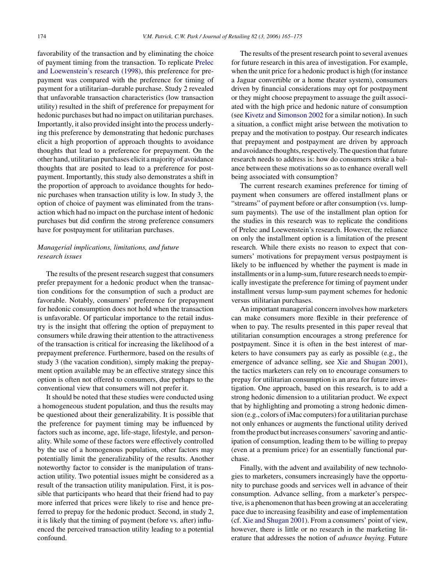favorability of the transaction and by eliminating the choice of payment timing from the transaction. To replicate [Prelec](#page-10-0) [and Loewenstein's research \(1998\),](#page-10-0) this preference for prepayment was compared with the preference for timing of payment for a utilitarian–durable purchase. Study 2 revealed that unfavorable transaction characteristics (low transaction utility) resulted in the shift of preference for prepayment for hedonic purchases but had no impact on utilitarian purchases. Importantly, it also provided insight into the process underlying this preference by demonstrating that hedonic purchases elicit a high proportion of approach thoughts to avoidance thoughts that lead to a preference for prepayment. On the other hand, utilitarian purchases elicit a majority of avoidance thoughts that are posited to lead to a preference for postpayment. Importantly, this study also demonstrates a shift in the proportion of approach to avoidance thoughts for hedonic purchases when transaction utility is low. In study 3, the option of choice of payment was eliminated from the transaction which had no impact on the purchase intent of hedonic purchases but did confirm the strong preference consumers have for postpayment for utilitarian purchases.

# *Managerial implications, limitations, and future research issues*

The results of the present research suggest that consumers prefer prepayment for a hedonic product when the transaction conditions for the consumption of such a product are favorable. Notably, consumers' preference for prepayment for hedonic consumption does not hold when the transaction is unfavorable. Of particular importance to the retail industry is the insight that offering the option of prepayment to consumers while drawing their attention to the attractiveness of the transaction is critical for increasing the likelihood of a prepayment preference. Furthermore, based on the results of study 3 (the vacation condition), simply making the prepayment option available may be an effective strategy since this option is often not offered to consumers, due perhaps to the conventional view that consumers will not prefer it.

It should be noted that these studies were conducted using a homogeneous student population, and thus the results may be questioned about their generalizability. It is possible that the preference for payment timing may be influenced by factors such as income, age, life-stage, lifestyle, and personality. While some of these factors were effectively controlled by the use of a homogenous population, other factors may potentially limit the generalizability of the results. Another noteworthy factor to consider is the manipulation of transaction utility. Two potential issues might be considered as a result of the transaction utility manipulation. First, it is possible that participants who heard that their friend had to pay more inferred that prices were likely to rise and hence preferred to prepay for the hedonic product. Second, in study 2, it is likely that the timing of payment (before vs. after) influenced the perceived transaction utility leading to a potential confound.

The results of the present research point to several avenues for future research in this area of investigation. For example, when the unit price for a hedonic product is high (for instance a Jaguar convertible or a home theater system), consumers driven by financial considerations may opt for postpayment or they might choose prepayment to assuage the guilt associated with the high price and hedonic nature of consumption (see [Kivetz and Simonson 2002](#page-10-0) for a similar notion). In such a situation, a conflict might arise between the motivation to prepay and the motivation to postpay. Our research indicates that prepayment and postpayment are driven by approach and avoidance thoughts, respectively. The question that future research needs to address is: how do consumers strike a balance between these motivations so as to enhance overall well being associated with consumption?

The current research examines preference for timing of payment when consumers are offered installment plans or "streams" of payment before or after consumption (vs. lumpsum payments). The use of the installment plan option for the studies in this research was to replicate the conditions of Prelec and Loewenstein's research. However, the reliance on only the installment option is a limitation of the present research. While there exists no reason to expect that consumers' motivations for prepayment versus postpayment is likely to be influenced by whether the payment is made in installments or in a lump-sum, future research needs to empirically investigate the preference for timing of payment under installment versus lump-sum payment schemes for hedonic versus utilitarian purchases.

An important managerial concern involves how marketers can make consumers more flexible in their preference of when to pay. The results presented in this paper reveal that utilitarian consumption encourages a strong preference for postpayment. Since it is often in the best interest of marketers to have consumers pay as early as possible (e.g., the emergence of advance selling, see [Xie and Shugan 2001\),](#page-10-0) the tactics marketers can rely on to encourage consumers to prepay for utilitarian consumption is an area for future investigation. One approach, based on this research, is to add a strong hedonic dimension to a utilitarian product. We expect that by highlighting and promoting a strong hedonic dimension (e.g., colors of iMac computers) for a utilitarian purchase not only enhances or augments the functional utility derived from the product but increases consumers' savoring and anticipation of consumption, leading them to be willing to prepay (even at a premium price) for an essentially functional purchase.

Finally, with the advent and availability of new technologies to marketers, consumers increasingly have the opportunity to purchase goods and services well in advance of their consumption. Advance selling, from a marketer's perspective, is a phenomenon that has been growing at an accelerating pace due to increasing feasibility and ease of implementation (cf. [Xie and Shugan 2001\).](#page-10-0) From a consumers' point of view, however, there is little or no research in the marketing literature that addresses the notion of *advance buying.* Future